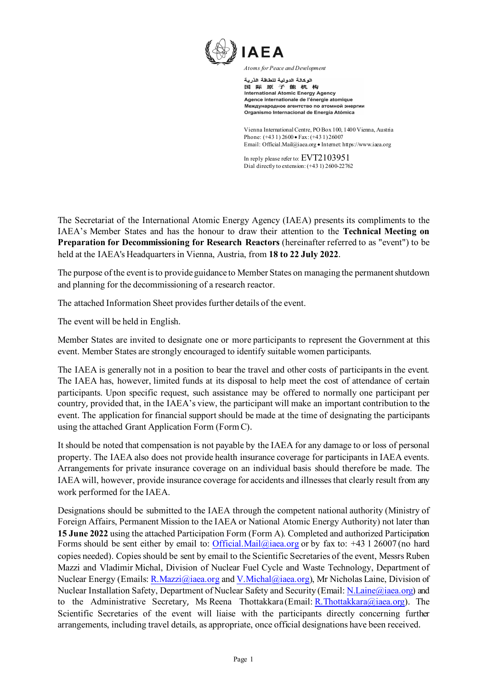

الوكالة الدولية للطاقة الذرية 国际原子能机构 International Atomic Energy Agency Agence internationale de l'énergie atomique Международное агентство по атомной энергии Organismo Internacional de Energía Atómica

Vienna International Centre, PO Box 100, 1400 Vienna, Austria Phone: (+43 1) 2600 • Fax: (+43 1) 26007 Email: Official.Mail@iaea.org • Interne[t: https://www.iaea.org](https://www.iaea.org/)

In reply please refer to: EVT2103951 Dial directly to extension: (+43 1) 2600-22762

The Secretariat of the International Atomic Energy Agency (IAEA) presents its compliments to the IAEA's Member States and has the honour to draw their attention to the **Technical Meeting on Preparation for Decommissioning for Research Reactors** (hereinafter referred to as "event") to be held at the IAEA's Headquarters in Vienna, Austria, from **18 to 22 July 2022**.

The purpose of the event is to provide guidance to Member States on managing the permanent shutdown and planning for the decommissioning of a research reactor.

The attached Information Sheet provides further details of the event.

The event will be held in English.

Member States are invited to designate one or more participants to represent the Government at this event. Member States are strongly encouraged to identify suitable women participants.

The IAEA is generally not in a position to bear the travel and other costs of participants in the event. The IAEA has, however, limited funds at its disposal to help meet the cost of attendance of certain participants. Upon specific request, such assistance may be offered to normally one participant per country, provided that, in the IAEA's view, the participant will make an important contribution to the event. The application for financial support should be made at the time of designating the participants using the attached Grant Application Form (Form C).

It should be noted that compensation is not payable by the IAEA for any damage to or loss of personal property. The IAEA also does not provide health insurance coverage for participants in IAEA events. Arrangements for private insurance coverage on an individual basis should therefore be made. The IAEA will, however, provide insurance coverage for accidents and illnesses that clearly result from any work performed for the IAEA.

Designations should be submitted to the IAEA through the competent national authority (Ministry of Foreign Affairs, Permanent Mission to the IAEA or National Atomic Energy Authority) not later than **15 June 2022** using the attached Participation Form (Form A). Completed and authorized Participation Forms should be sent either by email to: [Official.Mail@iaea.org](mailto:Official.Mail@iaea.org) or by fax to: +43 1 26007 (no hard copies needed). Copies should be sent by email to the Scientific Secretaries of the event, Messrs Ruben Mazzi and Vladimir Michal, Division of Nuclear Fuel Cycle and Waste Technology, Department of Nuclear Energy (Emails: [R.Mazzi@iaea.org](mailto:R.Mazzi@iaea.org) and [V.Michal@iaea.org\)](mailto:V.Michal@iaea.org), Mr Nicholas Laine, Division of Nuclear Installation Safety, Department of Nuclear Safety and Security (Email[: N.Laine@iaea.org\)](mailto:N.Laine@iaea.org) and to the Administrative Secretary, Ms Reena Thottakkara (Email: R.Thottakkara  $\omega$ iaea.org). The Scientific Secretaries of the event will liaise with the participants directly concerning further arrangements, including travel details, as appropriate, once official designations have been received.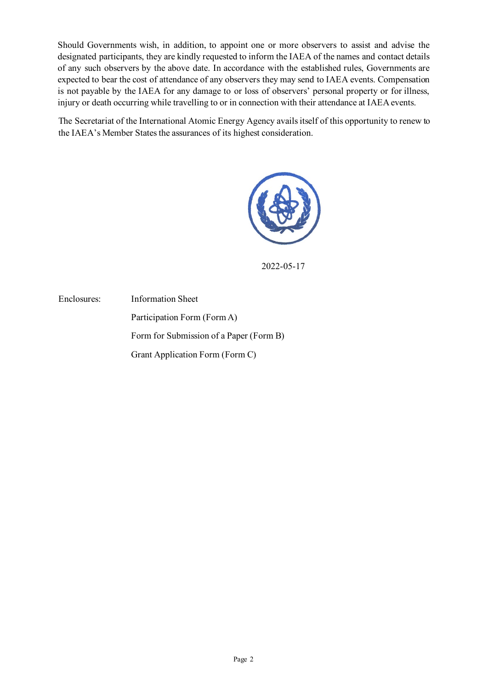Should Governments wish, in addition, to appoint one or more observers to assist and advise the designated participants, they are kindly requested to inform the IAEA of the names and contact details of any such observers by the above date. In accordance with the established rules, Governments are expected to bear the cost of attendance of any observers they may send to IAEA events. Compensation is not payable by the IAEA for any damage to or loss of observers' personal property or for illness, injury or death occurring while travelling to or in connection with their attendance at IAEA events.

The Secretariat of the International Atomic Energy Agency avails itself of this opportunity to renew to the IAEA's Member States the assurances of its highest consideration.



2022-05-17

Enclosures: Information Sheet Participation Form (Form A) Form for Submission of a Paper (Form B) Grant Application Form (Form C)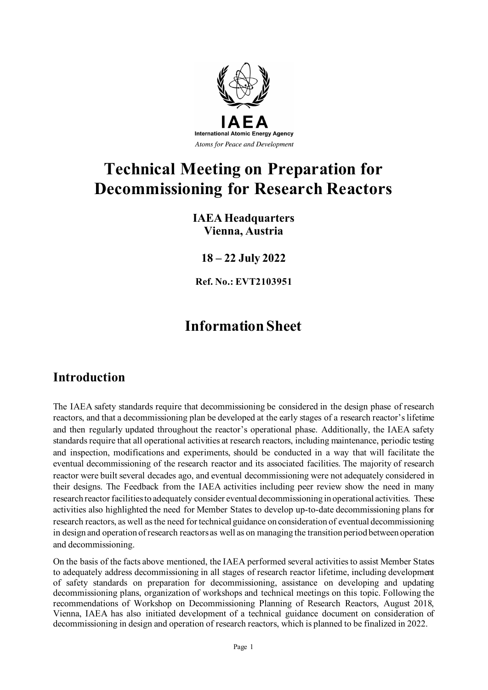

# **Technical Meeting on Preparation for Decommissioning for Research Reactors**

### **IAEA Headquarters Vienna, Austria**

**18 – 22 July 2022**

**Ref. No.: EVT2103951**

# **Information Sheet**

# **Introduction**

The IAEA safety standards require that decommissioning be considered in the design phase of research reactors, and that a decommissioning plan be developed at the early stages of a research reactor's lifetime and then regularly updated throughout the reactor's operational phase. Additionally, the IAEA safety standards require that all operational activities at research reactors, including maintenance, periodic testing and inspection, modifications and experiments, should be conducted in a way that will facilitate the eventual decommissioning of the research reactor and its associated facilities. The majority of research reactor were built several decades ago, and eventual decommissioning were not adequately considered in their designs. The Feedback from the IAEA activities including peer review show the need in many research reactor facilities to adequately consider eventual decommissioning in operational activities. These activities also highlighted the need for Member States to develop up-to-date decommissioning plans for research reactors, as well as the need for technical guidance on consideration of eventual decommissioning in design and operation of research reactors as well as on managing the transition period between operation and decommissioning.

On the basis of the facts above mentioned, the IAEA performed several activities to assist Member States to adequately address decommissioning in all stages of research reactor lifetime, including development of safety standards on preparation for decommissioning, assistance on developing and updating decommissioning plans, organization of workshops and technical meetings on this topic. Following the recommendations of Workshop on Decommissioning Planning of Research Reactors, August 2018, Vienna, IAEA has also initiated development of a technical guidance document on consideration of decommissioning in design and operation of research reactors, which is planned to be finalized in 2022.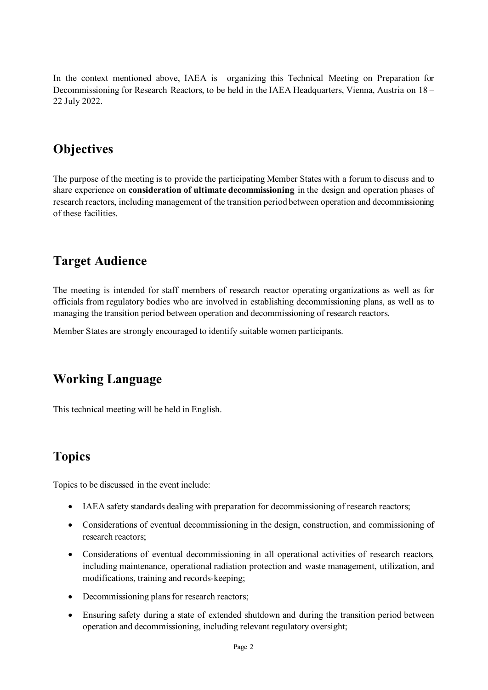In the context mentioned above, IAEA is organizing this Technical Meeting on Preparation for Decommissioning for Research Reactors, to be held in the IAEA Headquarters, Vienna, Austria on 18 – 22 July 2022.

## **Objectives**

The purpose of the meeting is to provide the participating Member States with a forum to discuss and to share experience on **consideration of ultimate decommissioning** in the design and operation phases of research reactors, including management of the transition period between operation and decommissioning of these facilities.

### **Target Audience**

The meeting is intended for staff members of research reactor operating organizations as well as for officials from regulatory bodies who are involved in establishing decommissioning plans, as well as to managing the transition period between operation and decommissioning of research reactors.

Member States are strongly encouraged to identify suitable women participants.

### **Working Language**

This technical meeting will be held in English.

### **Topics**

Topics to be discussed in the event include:

- IAEA safety standards dealing with preparation for decommissioning of research reactors;
- Considerations of eventual decommissioning in the design, construction, and commissioning of research reactors;
- Considerations of eventual decommissioning in all operational activities of research reactors, including maintenance, operational radiation protection and waste management, utilization, and modifications, training and records-keeping;
- Decommissioning plans for research reactors;
- Ensuring safety during a state of extended shutdown and during the transition period between operation and decommissioning, including relevant regulatory oversight;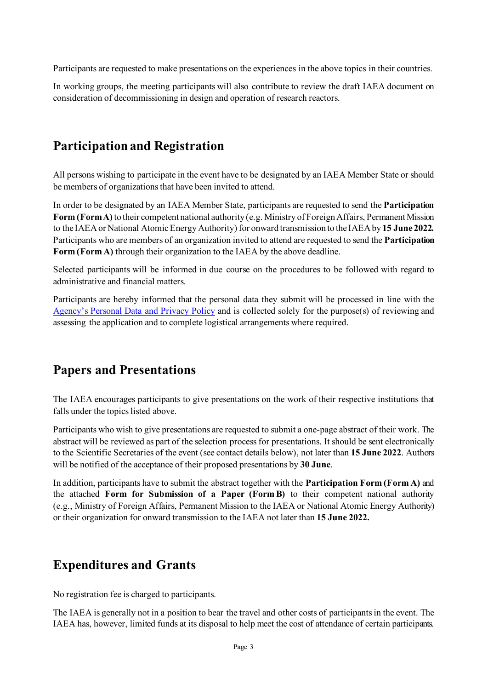Participants are requested to make presentations on the experiences in the above topics in their countries.

In working groups, the meeting participants will also contribute to review the draft IAEA document on consideration of decommissioning in design and operation of research reactors.

# **Participation and Registration**

All persons wishing to participate in the event have to be designated by an IAEA Member State or should be members of organizations that have been invited to attend.

In order to be designated by an IAEA Member State, participants are requested to send the **Participation Form (Form A)**to their competent national authority (e.g. Ministry of Foreign Affairs, Permanent Mission to the IAEA or National Atomic Energy Authority) for onward transmission to the IAEA by **15 June 2022.** Participants who are members of an organization invited to attend are requested to send the **Participation Form (Form A)** through their organization to the IAEA by the above deadline.

Selected participants will be informed in due course on the procedures to be followed with regard to administrative and financial matters.

Participants are hereby informed that the personal data they submit will be processed in line with the [Agency's Personal Data and Privacy Policy](https://www.iaea.org/about/privacy-policy#:%7E:text=The%20IAEA%20is%20committed%20to,accountable%20and%20non%2Ddiscriminatory%20manner.&text=The%20Privacy%20Policy%20provides%20the,carrying%20out%20its%20mandated%20activities.) and is collected solely for the purpose(s) of reviewing and assessing the application and to complete logistical arrangements where required.

# **Papers and Presentations**

The IAEA encourages participants to give presentations on the work of their respective institutions that falls under the topics listed above.

Participants who wish to give presentations are requested to submit a one-page abstract of their work. The abstract will be reviewed as part of the selection process for presentations. It should be sent electronically to the Scientific Secretaries of the event (see contact details below), not later than **15 June 2022**. Authors will be notified of the acceptance of their proposed presentations by **30 June**.

In addition, participants have to submit the abstract together with the **Participation Form (Form A)** and the attached **Form for Submission of a Paper (Form B)** to their competent national authority (e.g., Ministry of Foreign Affairs, Permanent Mission to the IAEA or National Atomic Energy Authority) or their organization for onward transmission to the IAEA not later than **15 June 2022.**

# **Expenditures and Grants**

No registration fee is charged to participants.

The IAEA is generally not in a position to bear the travel and other costs of participants in the event. The IAEA has, however, limited funds at its disposal to help meet the cost of attendance of certain participants.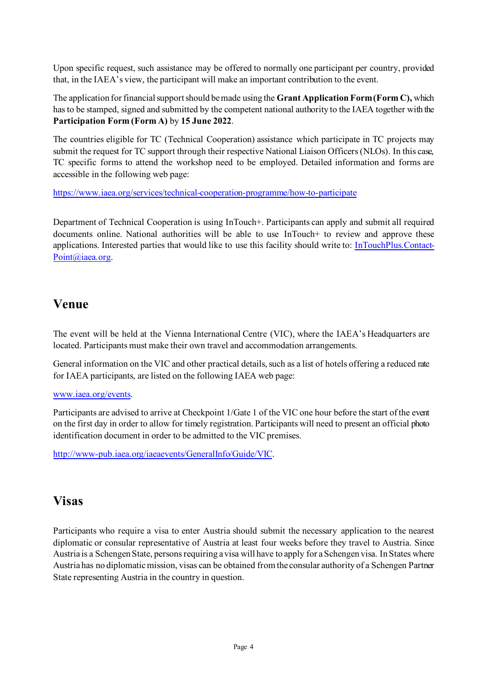Upon specific request, such assistance may be offered to normally one participant per country, provided that, in the IAEA's view, the participant will make an important contribution to the event.

The application for financial support should be made using the **Grant Application Form (Form C),** which has to be stamped, signed and submitted by the competent national authority to the IAEA together with the **Participation Form (Form A)** by **15 June 2022**.

The countries eligible for TC (Technical Cooperation) assistance which participate in TC projects may submit the request for TC support through their respective National Liaison Officers (NLOs). In this case, TC specific forms to attend the workshop need to be employed. Detailed information and forms are accessible in the following web page:

<https://www.iaea.org/services/technical-cooperation-programme/how-to-participate>

Department of Technical Cooperation is using InTouch+. Participants can apply and submit all required documents online. National authorities will be able to use InTouch+ to review and approve these applications. Interested parties that would like to use this facility should write to: [InTouchPlus.Contact-](mailto:InTouchPlus.Contact-Point@iaea.org)[Point@iaea.org.](mailto:InTouchPlus.Contact-Point@iaea.org)

### **Venue**

The event will be held at the Vienna International Centre (VIC), where the IAEA's Headquarters are located. Participants must make their own travel and accommodation arrangements.

General information on the VIC and other practical details, such as a list of hotels offering a reduced rate for IAEA participants, are listed on the following IAEA web page:

#### [www.iaea.org/events.](http://www.iaea.org/events)

Participants are advised to arrive at Checkpoint 1/Gate 1 of the VIC one hour before the start of the event on the first day in order to allow for timely registration. Participants will need to present an official photo identification document in order to be admitted to the VIC premises.

[http://www-pub.iaea.org/iaeaevents/GeneralInfo/Guide/VIC](http://www-pub.iaea.org/iaeameetings/GeneralInfo/Guide/VIC).

# **Visas**

Participants who require a visa to enter Austria should submit the necessary application to the nearest diplomatic or consular representative of Austria at least four weeks before they travel to Austria. Since Austria is a Schengen State, persons requiring a visa will have to apply for a Schengen visa. In States where Austria has no diplomatic mission, visas can be obtained from the consular authority of a Schengen Partner State representing Austria in the country in question.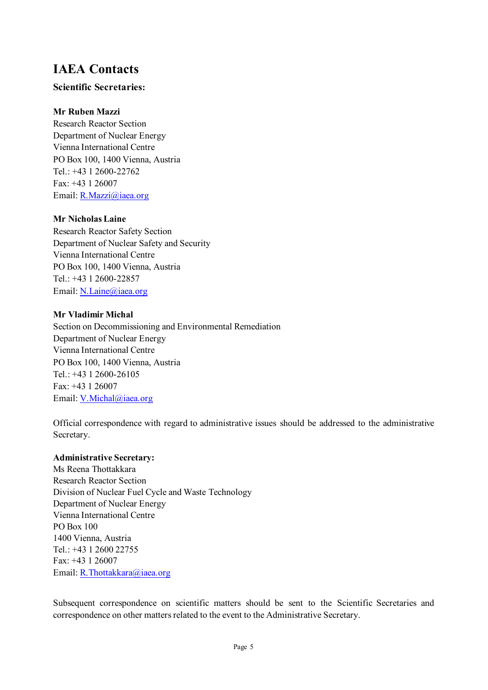### **IAEA Contacts**

#### **Scientific Secretaries:**

#### **Mr Ruben Mazzi**

Research Reactor Section Department of Nuclear Energy Vienna International Centre PO Box 100, 1400 Vienna, Austria Tel.: +43 1 2600-22762 Fax: +43 1 26007 Email[: R.Mazzi@iaea.org](mailto:R.Mazzi@iaea.org)

#### **Mr Nicholas Laine**

Research Reactor Safety Section Department of Nuclear Safety and Security Vienna International Centre PO Box 100, 1400 Vienna, Austria Tel.: +43 1 2600-22857 Email[: N.Laine@iaea.org](mailto:N.Laine@iaea.org)

#### **Mr Vladimir Michal**

Section on Decommissioning and Environmental Remediation Department of Nuclear Energy Vienna International Centre PO Box 100, 1400 Vienna, Austria Tel.: +43 1 2600-26105 Fax: +43 1 26007 Email[: V.Michal@iaea.org](mailto:V.Michal@iaea.org)

Official correspondence with regard to administrative issues should be addressed to the administrative Secretary.

#### **Administrative Secretary:**

Ms Reena Thottakkara Research Reactor Section Division of Nuclear Fuel Cycle and Waste Technology Department of Nuclear Energy Vienna International Centre PO Box 100 1400 Vienna, Austria Tel.: +43 1 2600 22755 Fax: +43 1 26007 Email[: R.Thottakkara@iaea.org](mailto:R.Thottakkara@iaea.org)

Subsequent correspondence on scientific matters should be sent to the Scientific Secretaries and correspondence on other matters related to the event to the Administrative Secretary.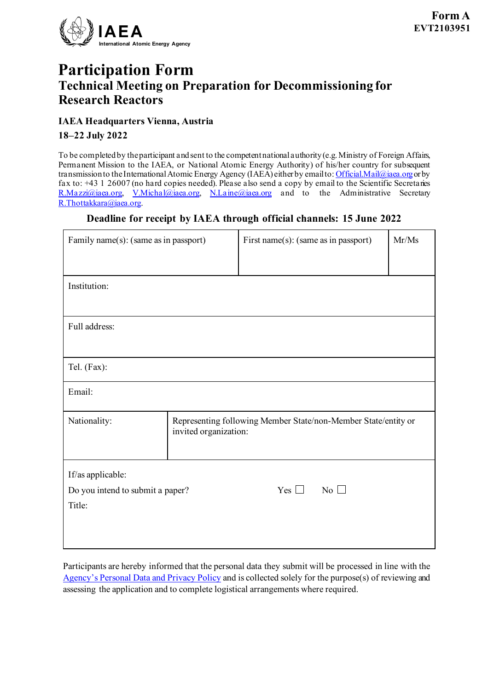

# **Participation Form Technical Meeting on Preparation for Decommissioning for Research Reactors**

#### **IAEA Headquarters Vienna, Austria**

**18–22 July 2022**

To be completed by the participant and sent to the competent national authority (e.g. Ministry of Foreign Affairs, Permanent Mission to the IAEA, or National Atomic Energy Authority) of his/her country for subsequent transmission to the International Atomic Energy Agency (IAEA) either by email to[: Official.Mail@iaea.org](mailto:official.mail@iaea.org) or by fax to: +43 1 26007 (no hard copies needed). Please also send a copy by email to the Scientific Secretaries [R.Mazzi@iaea.org](mailto:R.Mazzi@iaea.org), [V.Michal@iaea.org](mailto:V.Michal@iaea.org), [N.Laine@iaea.org](mailto:N.Laine@iaea.org) and to the Administrative Secretary [R.Thottakkara@iaea.org.](mailto:R.Thottakkara@iaea.org)

#### **Deadline for receipt by IAEA through official channels: 15 June 2022**

| Family name(s): (same as in passport)      |                                                                                         | First name(s): (same as in passport) |           | Mr/Ms |
|--------------------------------------------|-----------------------------------------------------------------------------------------|--------------------------------------|-----------|-------|
| Institution:                               |                                                                                         |                                      |           |       |
| Full address:                              |                                                                                         |                                      |           |       |
| Tel. (Fax):                                |                                                                                         |                                      |           |       |
| Email:                                     |                                                                                         |                                      |           |       |
| Nationality:                               | Representing following Member State/non-Member State/entity or<br>invited organization: |                                      |           |       |
| If/as applicable:                          |                                                                                         |                                      |           |       |
| Do you intend to submit a paper?<br>Title: |                                                                                         | Yes $\Box$                           | No $\Box$ |       |

Participants are hereby informed that the personal data they submit will be processed in line with the [Agency's Personal Data and Privacy Policy](https://www.iaea.org/about/privacy-policy#:%7E:text=The%20IAEA%20is%20committed%20to,accountable%20and%20non%2Ddiscriminatory%20manner.&text=The%20Privacy%20Policy%20provides%20the,carrying%20out%20its%20mandated%20activities.) and is collected solely for the purpose(s) of reviewing and assessing the application and to complete logistical arrangements where required.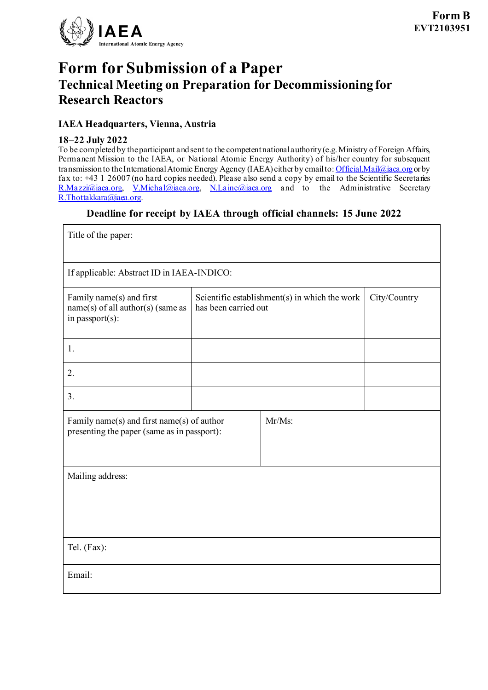

# **Form for Submission of a Paper Technical Meeting on Preparation for Decommissioning for Research Reactors**

#### **IAEA Headquarters, Vienna, Austria**

#### **18–22 July 2022**

To be completed by the participant and sent to the competent nationalauthority (e.g. Ministry of Foreign Affairs, Permanent Mission to the IAEA, or National Atomic Energy Authority) of his/her country for subsequent transmission to the International Atomic Energy Agency (IAEA) either by email to: [Official.Mail@iaea.org](mailto:official.mail@iaea.org) or by fax to: +43 1 26007 (no hard copies needed). Please also send a copy by email to the Scientific Secretaries [R.Mazzi@iaea.org](mailto:R.Mazzi@iaea.org), [V.Michal@iaea.org](mailto:V.Michal@iaea.org), [N.Laine@iaea.org](mailto:N.Laine@iaea.org) and to the Administrative Secretary [R.Thottakkara@iaea.org.](mailto:R.Thottakkara@iaea.org)

#### **Deadline for receipt by IAEA through official channels: 15 June 2022**

| Title of the paper:                                                                                    |                                                                       |  |              |  |
|--------------------------------------------------------------------------------------------------------|-----------------------------------------------------------------------|--|--------------|--|
| If applicable: Abstract ID in IAEA-INDICO:                                                             |                                                                       |  |              |  |
| Family name(s) and first<br>$name(s)$ of all author(s) (same as<br>in passport(s):                     | Scientific establishment(s) in which the work<br>has been carried out |  | City/Country |  |
| 1.                                                                                                     |                                                                       |  |              |  |
| 2.                                                                                                     |                                                                       |  |              |  |
| 3.                                                                                                     |                                                                       |  |              |  |
| $Mr/Ms$ :<br>Family name(s) and first name(s) of author<br>presenting the paper (same as in passport): |                                                                       |  |              |  |
| Mailing address:                                                                                       |                                                                       |  |              |  |
| Tel. (Fax):                                                                                            |                                                                       |  |              |  |
| Email:                                                                                                 |                                                                       |  |              |  |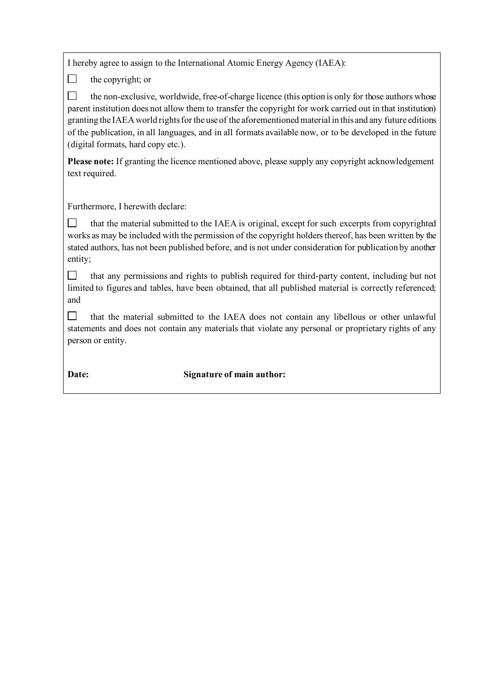I hereby agree to assign to the International Atomic Energy Agency (IAEA):

the copyright; or

 $\Box$ 

 $\Box$ the non-exclusive, worldwide, free-of-charge licence (this option is only for those authors whose parent institution does not allow them to transfer the copyright for work carried out in that institution) granting the IAEA world rights for the use of the aforementioned material in this and any future editions of the publication, in all languages, and in all formats available now, or to be developed in the future (digital formats, hard copy etc.).

**Please note:** If granting the licence mentioned above, please supply any copyright acknowledgement text required.

Furthermore, I herewith declare:

 $\Box$ that the material submitted to the IAEA is original, except for such excerpts from copyrighted works as may be included with the permission of the copyright holders thereof, has been written by the stated authors, has not been published before, and is not under consideration for publication by another entity;

 $\Box$ that any permissions and rights to publish required for third-party content, including but not limited to figures and tables, have been obtained, that all published material is correctly referenced; and

 $\Box$ that the material submitted to the IAEA does not contain any libellous or other unlawful statements and does not contain any materials that violate any personal or proprietary rights of any person or entity.

#### **Date: Signature of main author:**